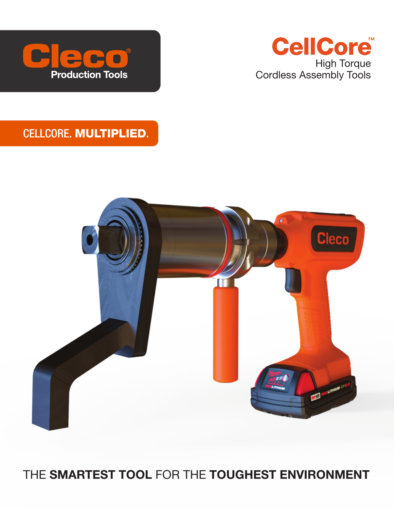



## CELLCORE. MULTIPLIED.



## THE SMARTEST TOOL FOR THE TOUGHEST ENVIRONMENT